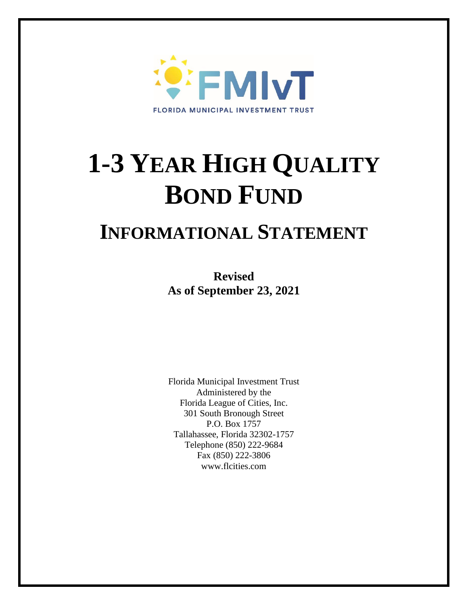

# **1-3 YEAR HIGH QUALITY BOND FUND**

## **INFORMATIONAL STATEMENT**

**Revised As of September 23, 2021**

Florida Municipal Investment Trust Administered by the Florida League of Cities, Inc. 301 South Bronough Street P.O. Box 1757 Tallahassee, Florida 32302-1757 Telephone (850) 222-9684 Fax (850) 222-3806 www.flcities.com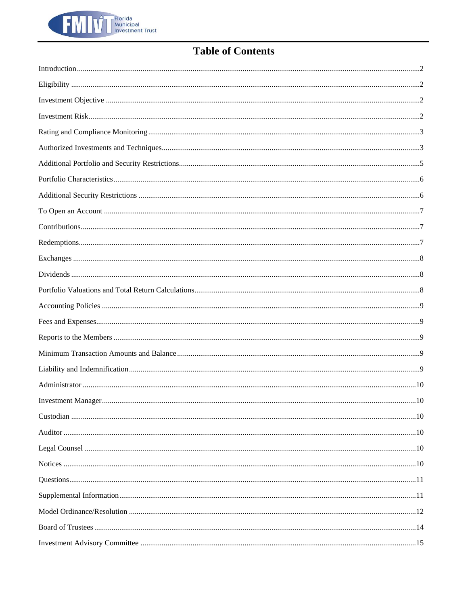

### **Table of Contents**

| $\textbf{Contributions}.\textcolor{red}{\textbf{177}} \textbf{1}$ |  |
|-------------------------------------------------------------------|--|
|                                                                   |  |
|                                                                   |  |
|                                                                   |  |
|                                                                   |  |
|                                                                   |  |
|                                                                   |  |
|                                                                   |  |
|                                                                   |  |
|                                                                   |  |
|                                                                   |  |
|                                                                   |  |
|                                                                   |  |
|                                                                   |  |
|                                                                   |  |
|                                                                   |  |
|                                                                   |  |
|                                                                   |  |
|                                                                   |  |
|                                                                   |  |
|                                                                   |  |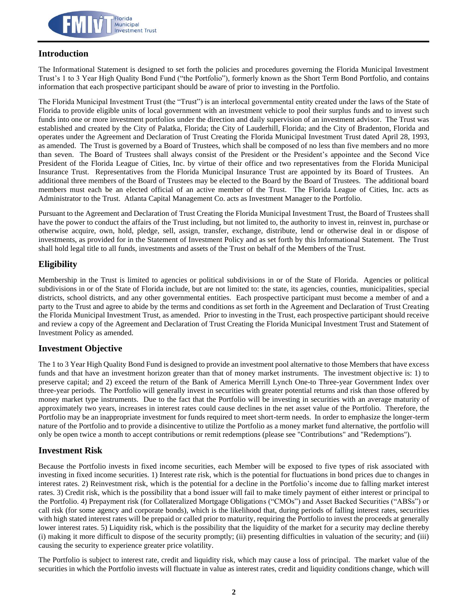

#### **Introduction**

The Informational Statement is designed to set forth the policies and procedures governing the Florida Municipal Investment Trust's 1 to 3 Year High Quality Bond Fund ("the Portfolio"), formerly known as the Short Term Bond Portfolio, and contains information that each prospective participant should be aware of prior to investing in the Portfolio.

The Florida Municipal Investment Trust (the "Trust") is an interlocal governmental entity created under the laws of the State of Florida to provide eligible units of local government with an investment vehicle to pool their surplus funds and to invest such funds into one or more investment portfolios under the direction and daily supervision of an investment advisor. The Trust was established and created by the City of Palatka, Florida; the City of Lauderhill, Florida; and the City of Bradenton, Florida and operates under the Agreement and Declaration of Trust Creating the Florida Municipal Investment Trust dated April 28, 1993, as amended. The Trust is governed by a Board of Trustees, which shall be composed of no less than five members and no more than seven. The Board of Trustees shall always consist of the President or the President's appointee and the Second Vice President of the Florida League of Cities, Inc. by virtue of their office and two representatives from the Florida Municipal Insurance Trust. Representatives from the Florida Municipal Insurance Trust are appointed by its Board of Trustees. An additional three members of the Board of Trustees may be elected to the Board by the Board of Trustees. The additional board members must each be an elected official of an active member of the Trust. The Florida League of Cities, Inc. acts as Administrator to the Trust. Atlanta Capital Management Co. acts as Investment Manager to the Portfolio.

Pursuant to the Agreement and Declaration of Trust Creating the Florida Municipal Investment Trust, the Board of Trustees shall have the power to conduct the affairs of the Trust including, but not limited to, the authority to invest in, reinvest in, purchase or otherwise acquire, own, hold, pledge, sell, assign, transfer, exchange, distribute, lend or otherwise deal in or dispose of investments, as provided for in the Statement of Investment Policy and as set forth by this Informational Statement. The Trust shall hold legal title to all funds, investments and assets of the Trust on behalf of the Members of the Trust.

#### **Eligibility**

Membership in the Trust is limited to agencies or political subdivisions in or of the State of Florida. Agencies or political subdivisions in or of the State of Florida include, but are not limited to: the state, its agencies, counties, municipalities, special districts, school districts, and any other governmental entities. Each prospective participant must become a member of and a party to the Trust and agree to abide by the terms and conditions as set forth in the Agreement and Declaration of Trust Creating the Florida Municipal Investment Trust, as amended. Prior to investing in the Trust, each prospective participant should receive and review a copy of the Agreement and Declaration of Trust Creating the Florida Municipal Investment Trust and Statement of Investment Policy as amended.

#### **Investment Objective**

The 1 to 3 Year High Quality Bond Fund is designed to provide an investment pool alternative to those Members that have excess funds and that have an investment horizon greater than that of money market instruments. The investment objective is: 1) to preserve capital; and 2) exceed the return of the Bank of America Merrill Lynch One-to Three-year Government Index over three-year periods. The Portfolio will generally invest in securities with greater potential returns and risk than those offered by money market type instruments. Due to the fact that the Portfolio will be investing in securities with an average maturity of approximately two years, increases in interest rates could cause declines in the net asset value of the Portfolio. Therefore, the Portfolio may be an inappropriate investment for funds required to meet short-term needs. In order to emphasize the longer-term nature of the Portfolio and to provide a disincentive to utilize the Portfolio as a money market fund alternative, the portfolio will only be open twice a month to accept contributions or remit redemptions (please see "Contributions" and "Redemptions").

#### **Investment Risk**

Because the Portfolio invests in fixed income securities, each Member will be exposed to five types of risk associated with investing in fixed income securities. 1) Interest rate risk, which is the potential for fluctuations in bond prices due to changes in interest rates. 2) Reinvestment risk, which is the potential for a decline in the Portfolio's income due to falling market interest rates. 3) Credit risk, which is the possibility that a bond issuer will fail to make timely payment of either interest or principal to the Portfolio. 4) Prepayment risk (for Collateralized Mortgage Obligations ("CMOs") and Asset Backed Securities ("ABSs") or call risk (for some agency and corporate bonds), which is the likelihood that, during periods of falling interest rates, securities with high stated interest rates will be prepaid or called prior to maturity, requiring the Portfolio to invest the proceeds at generally lower interest rates. 5) Liquidity risk, which is the possibility that the liquidity of the market for a security may decline thereby (i) making it more difficult to dispose of the security promptly; (ii) presenting difficulties in valuation of the security; and (iii) causing the security to experience greater price volatility.

The Portfolio is subject to interest rate, credit and liquidity risk, which may cause a loss of principal. The market value of the securities in which the Portfolio invests will fluctuate in value as interest rates, credit and liquidity conditions change, which will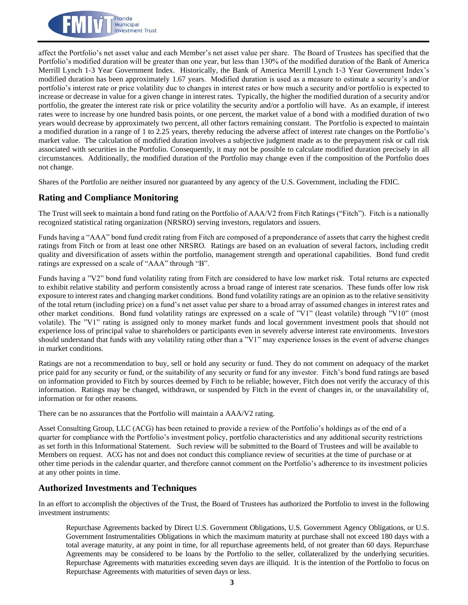

affect the Portfolio's net asset value and each Member's net asset value per share. The Board of Trustees has specified that the Portfolio's modified duration will be greater than one year, but less than 130% of the modified duration of the Bank of America Merrill Lynch 1-3 Year Government Index. Historically, the Bank of America Merrill Lynch 1-3 Year Government Index's modified duration has been approximately 1.67 years. Modified duration is used as a measure to estimate a security's and/or portfolio's interest rate or price volatility due to changes in interest rates or how much a security and/or portfolio is expected to increase or decrease in value for a given change in interest rates. Typically, the higher the modified duration of a security and/or portfolio, the greater the interest rate risk or price volatility the security and/or a portfolio will have. As an example, if interest rates were to increase by one hundred basis points, or one percent, the market value of a bond with a modified duration of two years would decrease by approximately two percent, all other factors remaining constant. The Portfolio is expected to maintain a modified duration in a range of 1 to 2.25 years, thereby reducing the adverse affect of interest rate changes on the Portfolio's market value. The calculation of modified duration involves a subjective judgment made as to the prepayment risk or call risk associated with securities in the Portfolio. Consequently, it may not be possible to calculate modified duration precisely in all circumstances. Additionally, the modified duration of the Portfolio may change even if the composition of the Portfolio does not change.

Shares of the Portfolio are neither insured nor guaranteed by any agency of the U.S. Government, including the FDIC.

#### **Rating and Compliance Monitoring**

The Trust will seek to maintain a bond fund rating on the Portfolio of AAA/V2 from Fitch Ratings ("Fitch"). Fitch is a nationally recognized statistical rating organization (NRSRO) serving investors, regulators and issuers.

Funds having a "AAA" bond fund credit rating from Fitch are composed of a preponderance of assets that carry the highest credit ratings from Fitch or from at least one other NRSRO. Ratings are based on an evaluation of several factors, including credit quality and diversification of assets within the portfolio, management strength and operational capabilities. Bond fund credit ratings are expressed on a scale of "AAA" through "B".

Funds having a "V2" bond fund volatility rating from Fitch are considered to have low market risk. Total returns are expected to exhibit relative stability and perform consistently across a broad range of interest rate scenarios. These funds offer low risk exposure to interest rates and changing market conditions. Bond fund volatility ratings are an opinion as to the relative sensitivity of the total return (including price) on a fund's net asset value per share to a broad array of assumed changes in interest rates and other market conditions. Bond fund volatility ratings are expressed on a scale of "V1" (least volatile) through "V10" (most volatile). The "V1" rating is assigned only to money market funds and local government investment pools that should not experience loss of principal value to shareholders or participants even in severely adverse interest rate environments. Investors should understand that funds with any volatility rating other than a "V1" may experience losses in the event of adverse changes in market conditions.

Ratings are not a recommendation to buy, sell or hold any security or fund. They do not comment on adequacy of the market price paid for any security or fund, or the suitability of any security or fund for any investor. Fitch's bond fund ratings are based on information provided to Fitch by sources deemed by Fitch to be reliable; however, Fitch does not verify the accuracy of this information. Ratings may be changed, withdrawn, or suspended by Fitch in the event of changes in, or the unavailability of, information or for other reasons.

There can be no assurances that the Portfolio will maintain a AAA/V2 rating.

Asset Consulting Group, LLC (ACG) has been retained to provide a review of the Portfolio's holdings as of the end of a quarter for compliance with the Portfolio's investment policy, portfolio characteristics and any additional security restrictions as set forth in this Informational Statement. Such review will be submitted to the Board of Trustees and will be available to Members on request. ACG has not and does not conduct this compliance review of securities at the time of purchase or at other time periods in the calendar quarter, and therefore cannot comment on the Portfolio's adherence to its investment policies at any other points in time.

#### **Authorized Investments and Techniques**

In an effort to accomplish the objectives of the Trust, the Board of Trustees has authorized the Portfolio to invest in the following investment instruments:

Repurchase Agreements backed by Direct U.S. Government Obligations, U.S. Government Agency Obligations, or U.S. Government Instrumentalities Obligations in which the maximum maturity at purchase shall not exceed 180 days with a total average maturity, at any point in time, for all repurchase agreements held, of not greater than 60 days. Repurchase Agreements may be considered to be loans by the Portfolio to the seller, collateralized by the underlying securities. Repurchase Agreements with maturities exceeding seven days are illiquid. It is the intention of the Portfolio to focus on Repurchase Agreements with maturities of seven days or less.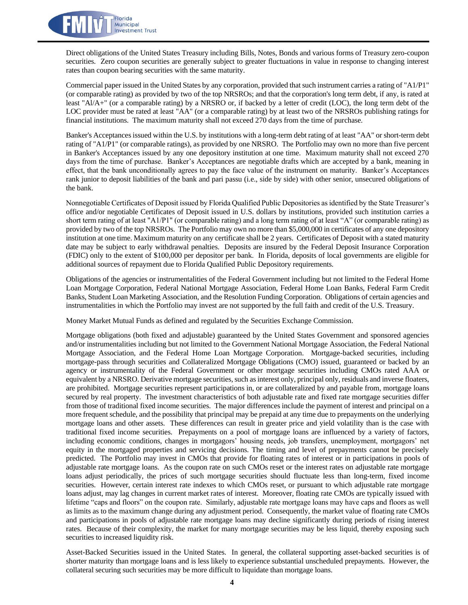

Direct obligations of the United States Treasury including Bills, Notes, Bonds and various forms of Treasury zero-coupon securities. Zero coupon securities are generally subject to greater fluctuations in value in response to changing interest rates than coupon bearing securities with the same maturity.

Commercial paper issued in the United States by any corporation, provided that such instrument carries a rating of "A1/P1" (or comparable rating) as provided by two of the top NRSROs; and that the corporation's long term debt, if any, is rated at least "Al/A+" (or a comparable rating) by a NRSRO or, if backed by a letter of credit (LOC), the long term debt of the LOC provider must be rated at least "AA" (or a comparable rating) by at least two of the NRSROs publishing ratings for financial institutions. The maximum maturity shall not exceed 270 days from the time of purchase.

Banker's Acceptances issued within the U.S. by institutions with a long-term debt rating of at least "AA" or short-term debt rating of "A1/P1" (or comparable ratings), as provided by one NRSRO. The Portfolio may own no more than five percent in Banker's Acceptances issued by any one depository institution at one time. Maximum maturity shall not exceed 270 days from the time of purchase. Banker's Acceptances are negotiable drafts which are accepted by a bank, meaning in effect, that the bank unconditionally agrees to pay the face value of the instrument on maturity. Banker's Acceptances rank junior to deposit liabilities of the bank and pari passu (i.e., side by side) with other senior, unsecured obligations of the bank.

Nonnegotiable Certificates of Deposit issued by Florida Qualified Public Depositories as identified by the State Treasurer's office and/or negotiable Certificates of Deposit issued in U.S. dollars by institutions, provided such institution carries a short term rating of at least "A1/P1" (or comparable rating) and a long term rating of at least "A" (or comparable rating) as provided by two of the top NRSROs. The Portfolio may own no more than \$5,000,000 in certificates of any one depository institution at one time. Maximum maturity on any certificate shall be 2 years. Certificates of Deposit with a stated maturity date may be subject to early withdrawal penalties. Deposits are insured by the Federal Deposit Insurance Corporation (FDIC) only to the extent of \$100,000 per depositor per bank. In Florida, deposits of local governments are eligible for additional sources of repayment due to Florida Qualified Public Depository requirements.

Obligations of the agencies or instrumentalities of the Federal Government including but not limited to the Federal Home Loan Mortgage Corporation, Federal National Mortgage Association, Federal Home Loan Banks, Federal Farm Credit Banks, Student Loan Marketing Association, and the Resolution Funding Corporation. Obligations of certain agencies and instrumentalities in which the Portfolio may invest are not supported by the full faith and credit of the U.S. Treasury.

Money Market Mutual Funds as defined and regulated by the Securities Exchange Commission.

Mortgage obligations (both fixed and adjustable) guaranteed by the United States Government and sponsored agencies and/or instrumentalities including but not limited to the Government National Mortgage Association, the Federal National Mortgage Association, and the Federal Home Loan Mortgage Corporation. Mortgage-backed securities, including mortgage-pass through securities and Collateralized Mortgage Obligations (CMO) issued, guaranteed or backed by an agency or instrumentality of the Federal Government or other mortgage securities including CMOs rated AAA or equivalent by a NRSRO. Derivative mortgage securities, such as interest only, principal only, residuals and inverse floaters, are prohibited. Mortgage securities represent participations in, or are collateralized by and payable from, mortgage loans secured by real property. The investment characteristics of both adjustable rate and fixed rate mortgage securities differ from those of traditional fixed income securities. The major differences include the payment of interest and principal on a more frequent schedule, and the possibility that principal may be prepaid at any time due to prepayments on the underlying mortgage loans and other assets. These differences can result in greater price and yield volatility than is the case with traditional fixed income securities. Prepayments on a pool of mortgage loans are influenced by a variety of factors, including economic conditions, changes in mortgagors' housing needs, job transfers, unemployment, mortgagors' net equity in the mortgaged properties and servicing decisions. The timing and level of prepayments cannot be precisely predicted. The Portfolio may invest in CMOs that provide for floating rates of interest or in participations in pools of adjustable rate mortgage loans. As the coupon rate on such CMOs reset or the interest rates on adjustable rate mortgage loans adjust periodically, the prices of such mortgage securities should fluctuate less than long-term, fixed income securities. However, certain interest rate indexes to which CMOs reset, or pursuant to which adjustable rate mortgage loans adjust, may lag changes in current market rates of interest. Moreover, floating rate CMOs are typically issued with lifetime "caps and floors" on the coupon rate. Similarly, adjustable rate mortgage loans may have caps and floors as well as limits as to the maximum change during any adjustment period. Consequently, the market value of floating rate CMOs and participations in pools of adjustable rate mortgage loans may decline significantly during periods of rising interest rates. Because of their complexity, the market for many mortgage securities may be less liquid, thereby exposing such securities to increased liquidity risk.

Asset-Backed Securities issued in the United States. In general, the collateral supporting asset-backed securities is of shorter maturity than mortgage loans and is less likely to experience substantial unscheduled prepayments. However, the collateral securing such securities may be more difficult to liquidate than mortgage loans.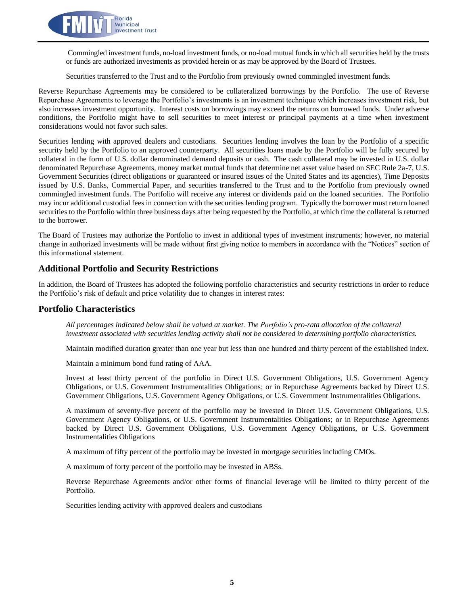

Commingled investment funds, no-load investment funds, or no-load mutual funds in which all securities held by the trusts or funds are authorized investments as provided herein or as may be approved by the Board of Trustees.

Securities transferred to the Trust and to the Portfolio from previously owned commingled investment funds.

Reverse Repurchase Agreements may be considered to be collateralized borrowings by the Portfolio. The use of Reverse Repurchase Agreements to leverage the Portfolio's investments is an investment technique which increases investment risk, but also increases investment opportunity. Interest costs on borrowings may exceed the returns on borrowed funds. Under adverse conditions, the Portfolio might have to sell securities to meet interest or principal payments at a time when investment considerations would not favor such sales.

Securities lending with approved dealers and custodians. Securities lending involves the loan by the Portfolio of a specific security held by the Portfolio to an approved counterparty. All securities loans made by the Portfolio will be fully secured by collateral in the form of U.S. dollar denominated demand deposits or cash. The cash collateral may be invested in U.S. dollar denominated Repurchase Agreements, money market mutual funds that determine net asset value based on SEC Rule 2a-7, U.S. Government Securities (direct obligations or guaranteed or insured issues of the United States and its agencies), Time Deposits issued by U.S. Banks, Commercial Paper, and securities transferred to the Trust and to the Portfolio from previously owned commingled investment funds. The Portfolio will receive any interest or dividends paid on the loaned securities. The Portfolio may incur additional custodial fees in connection with the securities lending program. Typically the borrower must return loaned securities to the Portfolio within three business days after being requested by the Portfolio, at which time the collateral is returned to the borrower.

The Board of Trustees may authorize the Portfolio to invest in additional types of investment instruments; however, no material change in authorized investments will be made without first giving notice to members in accordance with the "Notices" section of this informational statement.

#### **Additional Portfolio and Security Restrictions**

In addition, the Board of Trustees has adopted the following portfolio characteristics and security restrictions in order to reduce the Portfolio's risk of default and price volatility due to changes in interest rates:

#### **Portfolio Characteristics**

*All percentages indicated below shall be valued at market. The Portfolio's pro-rata allocation of the collateral investment associated with securities lending activity shall not be considered in determining portfolio characteristics.*

Maintain modified duration greater than one year but less than one hundred and thirty percent of the established index.

Maintain a minimum bond fund rating of AAA.

Invest at least thirty percent of the portfolio in Direct U.S. Government Obligations, U.S. Government Agency Obligations, or U.S. Government Instrumentalities Obligations; or in Repurchase Agreements backed by Direct U.S. Government Obligations, U.S. Government Agency Obligations, or U.S. Government Instrumentalities Obligations.

A maximum of seventy-five percent of the portfolio may be invested in Direct U.S. Government Obligations, U.S. Government Agency Obligations, or U.S. Government Instrumentalities Obligations; or in Repurchase Agreements backed by Direct U.S. Government Obligations, U.S. Government Agency Obligations, or U.S. Government Instrumentalities Obligations

A maximum of fifty percent of the portfolio may be invested in mortgage securities including CMOs.

A maximum of forty percent of the portfolio may be invested in ABSs.

Reverse Repurchase Agreements and/or other forms of financial leverage will be limited to thirty percent of the Portfolio.

Securities lending activity with approved dealers and custodians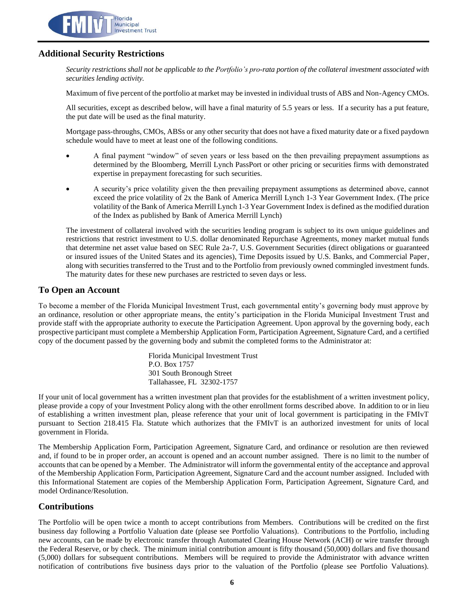

#### **Additional Security Restrictions**

*Security restrictions shall not be applicable to the Portfolio's pro-rata portion of the collateral investment associated with securities lending activity.*

Maximum of five percent of the portfolio at market may be invested in individual trusts of ABS and Non-Agency CMOs.

All securities, except as described below, will have a final maturity of 5.5 years or less. If a security has a put feature, the put date will be used as the final maturity.

Mortgage pass-throughs, CMOs, ABSs or any other security that does not have a fixed maturity date or a fixed paydown schedule would have to meet at least one of the following conditions.

- A final payment "window" of seven years or less based on the then prevailing prepayment assumptions as determined by the Bloomberg, Merrill Lynch PassPort or other pricing or securities firms with demonstrated expertise in prepayment forecasting for such securities.
- A security's price volatility given the then prevailing prepayment assumptions as determined above, cannot exceed the price volatility of 2x the Bank of America Merrill Lynch 1-3 Year Government Index. (The price volatility of the Bank of America Merrill Lynch 1-3 Year Government Index is defined as the modified duration of the Index as published by Bank of America Merrill Lynch)

The investment of collateral involved with the securities lending program is subject to its own unique guidelines and restrictions that restrict investment to U.S. dollar denominated Repurchase Agreements, money market mutual funds that determine net asset value based on SEC Rule 2a-7, U.S. Government Securities (direct obligations or guaranteed or insured issues of the United States and its agencies), Time Deposits issued by U.S. Banks, and Commercial Paper, along with securities transferred to the Trust and to the Portfolio from previously owned commingled investment funds. The maturity dates for these new purchases are restricted to seven days or less.

#### **To Open an Account**

To become a member of the Florida Municipal Investment Trust, each governmental entity's governing body must approve by an ordinance, resolution or other appropriate means, the entity's participation in the Florida Municipal Investment Trust and provide staff with the appropriate authority to execute the Participation Agreement. Upon approval by the governing body, each prospective participant must complete a Membership Application Form, Participation Agreement, Signature Card, and a certified copy of the document passed by the governing body and submit the completed forms to the Administrator at:

> Florida Municipal Investment Trust P.O. Box 1757 301 South Bronough Street Tallahassee, FL 32302-1757

If your unit of local government has a written investment plan that provides for the establishment of a written investment policy, please provide a copy of your Investment Policy along with the other enrollment forms described above. In addition to or in lieu of establishing a written investment plan, please reference that your unit of local government is participating in the FMIvT pursuant to Section 218.415 Fla. Statute which authorizes that the FMIvT is an authorized investment for units of local government in Florida.

The Membership Application Form, Participation Agreement, Signature Card, and ordinance or resolution are then reviewed and, if found to be in proper order, an account is opened and an account number assigned. There is no limit to the number of accounts that can be opened by a Member. The Administrator will inform the governmental entity of the acceptance and approval of the Membership Application Form, Participation Agreement, Signature Card and the account number assigned. Included with this Informational Statement are copies of the Membership Application Form, Participation Agreement, Signature Card, and model Ordinance/Resolution.

#### **Contributions**

The Portfolio will be open twice a month to accept contributions from Members. Contributions will be credited on the first business day following a Portfolio Valuation date (please see Portfolio Valuations). Contributions to the Portfolio, including new accounts, can be made by electronic transfer through Automated Clearing House Network (ACH) or wire transfer through the Federal Reserve, or by check. The minimum initial contribution amount is fifty thousand (50,000) dollars and five thousand (5,000) dollars for subsequent contributions. Members will be required to provide the Administrator with advance written notification of contributions five business days prior to the valuation of the Portfolio (please see Portfolio Valuations).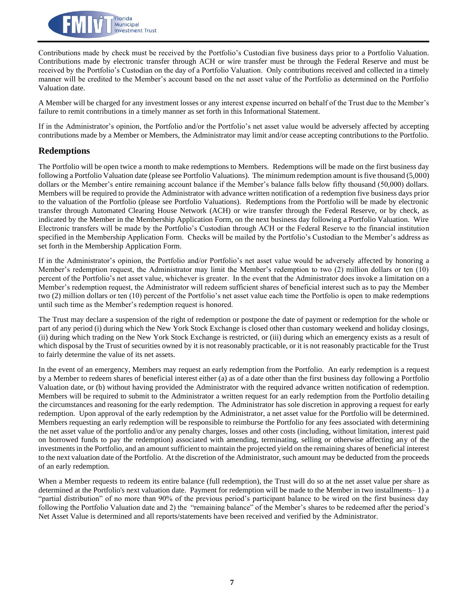

Contributions made by check must be received by the Portfolio's Custodian five business days prior to a Portfolio Valuation. Contributions made by electronic transfer through ACH or wire transfer must be through the Federal Reserve and must be received by the Portfolio's Custodian on the day of a Portfolio Valuation. Only contributions received and collected in a timely manner will be credited to the Member's account based on the net asset value of the Portfolio as determined on the Portfolio Valuation date.

A Member will be charged for any investment losses or any interest expense incurred on behalf of the Trust due to the Member's failure to remit contributions in a timely manner as set forth in this Informational Statement.

If in the Administrator's opinion, the Portfolio and/or the Portfolio's net asset value would be adversely affected by accepting contributions made by a Member or Members, the Administrator may limit and/or cease accepting contributions to the Portfolio.

#### **Redemptions**

The Portfolio will be open twice a month to make redemptions to Members. Redemptions will be made on the first business day following a Portfolio Valuation date (please see Portfolio Valuations). The minimum redemption amount is five thousand (5,000) dollars or the Member's entire remaining account balance if the Member's balance falls below fifty thousand (50,000) dollars. Members will be required to provide the Administrator with advance written notification of a redemption five business days prior to the valuation of the Portfolio (please see Portfolio Valuations). Redemptions from the Portfolio will be made by electronic transfer through Automated Clearing House Network (ACH) or wire transfer through the Federal Reserve, or by check, as indicated by the Member in the Membership Application Form, on the next business day following a Portfolio Valuation. Wire Electronic transfers will be made by the Portfolio's Custodian through ACH or the Federal Reserve to the financial institution specified in the Membership Application Form. Checks will be mailed by the Portfolio's Custodian to the Member's address as set forth in the Membership Application Form.

If in the Administrator's opinion, the Portfolio and/or Portfolio's net asset value would be adversely affected by honoring a Member's redemption request, the Administrator may limit the Member's redemption to two (2) million dollars or ten (10) percent of the Portfolio's net asset value, whichever is greater. In the event that the Administrator does invoke a limitation on a Member's redemption request, the Administrator will redeem sufficient shares of beneficial interest such as to pay the Member two (2) million dollars or ten (10) percent of the Portfolio's net asset value each time the Portfolio is open to make redemptions until such time as the Member's redemption request is honored.

The Trust may declare a suspension of the right of redemption or postpone the date of payment or redemption for the whole or part of any period (i) during which the New York Stock Exchange is closed other than customary weekend and holiday closings, (ii) during which trading on the New York Stock Exchange is restricted, or (iii) during which an emergency exists as a result of which disposal by the Trust of securities owned by it is not reasonably practicable, or it is not reasonably practicable for the Trust to fairly determine the value of its net assets.

In the event of an emergency, Members may request an early redemption from the Portfolio. An early redemption is a request by a Member to redeem shares of beneficial interest either (a) as of a date other than the first business day following a Portfolio Valuation date, or (b) without having provided the Administrator with the required advance written notification of redemption. Members will be required to submit to the Administrator a written request for an early redemption from the Portfolio detailing the circumstances and reasoning for the early redemption. The Administrator has sole discretion in approving a request for early redemption. Upon approval of the early redemption by the Administrator, a net asset value for the Portfolio will be determined. Members requesting an early redemption will be responsible to reimburse the Portfolio for any fees associated with determining the net asset value of the portfolio and/or any penalty charges, losses and other costs (including, without limitation, interest paid on borrowed funds to pay the redemption) associated with amending, terminating, selling or otherwise affecting any of the investments in the Portfolio, and an amount sufficient to maintain the projected yield on the remaining shares of beneficial interest to the next valuation date of the Portfolio. At the discretion of the Administrator, such amount may be deducted from the proceeds of an early redemption.

When a Member requests to redeem its entire balance (full redemption), the Trust will do so at the net asset value per share as determined at the Portfolio's next valuation date. Payment for redemption will be made to the Member in two installments– 1) a "partial distribution" of no more than 90% of the previous period's participant balance to be wired on the first business day following the Portfolio Valuation date and 2) the "remaining balance" of the Member's shares to be redeemed after the period's Net Asset Value is determined and all reports/statements have been received and verified by the Administrator.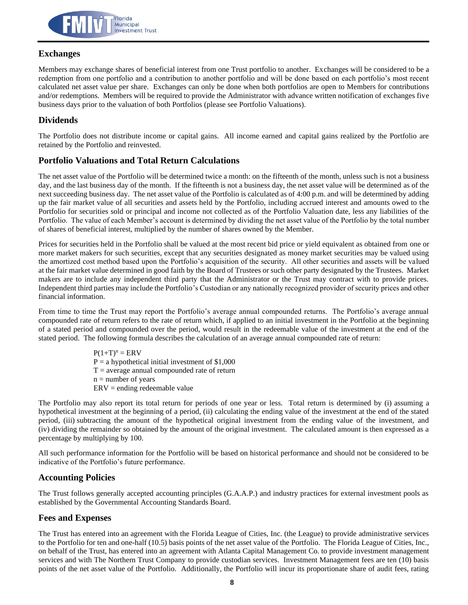

#### **Exchanges**

Members may exchange shares of beneficial interest from one Trust portfolio to another. Exchanges will be considered to be a redemption from one portfolio and a contribution to another portfolio and will be done based on each portfolio's most recent calculated net asset value per share. Exchanges can only be done when both portfolios are open to Members for contributions and/or redemptions. Members will be required to provide the Administrator with advance written notification of exchanges five business days prior to the valuation of both Portfolios (please see Portfolio Valuations).

#### **Dividends**

The Portfolio does not distribute income or capital gains. All income earned and capital gains realized by the Portfolio are retained by the Portfolio and reinvested.

#### **Portfolio Valuations and Total Return Calculations**

The net asset value of the Portfolio will be determined twice a month: on the fifteenth of the month, unless such is not a business day, and the last business day of the month. If the fifteenth is not a business day, the net asset value will be determined as of the next succeeding business day. The net asset value of the Portfolio is calculated as of 4:00 p.m. and will be determined by adding up the fair market value of all securities and assets held by the Portfolio, including accrued interest and amounts owed to the Portfolio for securities sold or principal and income not collected as of the Portfolio Valuation date, less any liabilities of the Portfolio. The value of each Member's account is determined by dividing the net asset value of the Portfolio by the total number of shares of beneficial interest, multiplied by the number of shares owned by the Member.

Prices for securities held in the Portfolio shall be valued at the most recent bid price or yield equivalent as obtained from one or more market makers for such securities, except that any securities designated as money market securities may be valued using the amortized cost method based upon the Portfolio's acquisition of the security. All other securities and assets will be valued at the fair market value determined in good faith by the Board of Trustees or such other party designated by the Trustees. Market makers are to include any independent third party that the Administrator or the Trust may contract with to provide prices. Independent third parties may include the Portfolio's Custodian or any nationally recognized provider of security prices and other financial information.

From time to time the Trust may report the Portfolio's average annual compounded returns. The Portfolio's average annual compounded rate of return refers to the rate of return which, if applied to an initial investment in the Portfolio at the beginning of a stated period and compounded over the period, would result in the redeemable value of the investment at the end of the stated period. The following formula describes the calculation of an average annual compounded rate of return:

> $P(1+T)^n = ERV$  $P = a$  hypothetical initial investment of \$1,000  $T =$  average annual compounded rate of return  $n =$  number of years  $ERV =$  ending redeemable value

The Portfolio may also report its total return for periods of one year or less. Total return is determined by (i) assuming a hypothetical investment at the beginning of a period, (ii) calculating the ending value of the investment at the end of the stated period, (iii) subtracting the amount of the hypothetical original investment from the ending value of the investment, and (iv) dividing the remainder so obtained by the amount of the original investment. The calculated amount is then expressed as a percentage by multiplying by 100.

All such performance information for the Portfolio will be based on historical performance and should not be considered to be indicative of the Portfolio's future performance.

#### **Accounting Policies**

The Trust follows generally accepted accounting principles (G.A.A.P.) and industry practices for external investment pools as established by the Governmental Accounting Standards Board.

#### **Fees and Expenses**

The Trust has entered into an agreement with the Florida League of Cities, Inc. (the League) to provide administrative services to the Portfolio for ten and one-half (10.5) basis points of the net asset value of the Portfolio. The Florida League of Cities, Inc., on behalf of the Trust, has entered into an agreement with Atlanta Capital Management Co. to provide investment management services and with The Northern Trust Company to provide custodian services. Investment Management fees are ten (10) basis points of the net asset value of the Portfolio. Additionally, the Portfolio will incur its proportionate share of audit fees, rating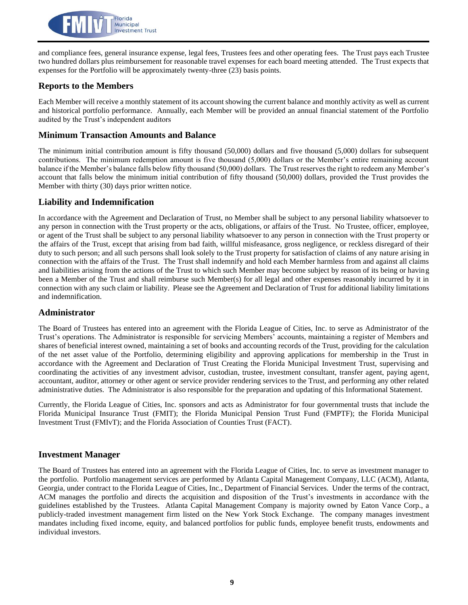

and compliance fees, general insurance expense, legal fees, Trustees fees and other operating fees. The Trust pays each Trustee two hundred dollars plus reimbursement for reasonable travel expenses for each board meeting attended. The Trust expects that expenses for the Portfolio will be approximately twenty-three (23) basis points.

#### **Reports to the Members**

Each Member will receive a monthly statement of its account showing the current balance and monthly activity as well as current and historical portfolio performance. Annually, each Member will be provided an annual financial statement of the Portfolio audited by the Trust's independent auditors

#### **Minimum Transaction Amounts and Balance**

The minimum initial contribution amount is fifty thousand (50,000) dollars and five thousand (5,000) dollars for subsequent contributions. The minimum redemption amount is five thousand (5,000) dollars or the Member's entire remaining account balance if the Member's balance falls below fifty thousand (50,000) dollars. The Trust reserves the right to redeem any Member's account that falls below the minimum initial contribution of fifty thousand (50,000) dollars, provided the Trust provides the Member with thirty (30) days prior written notice.

#### **Liability and Indemnification**

In accordance with the Agreement and Declaration of Trust, no Member shall be subject to any personal liability whatsoever to any person in connection with the Trust property or the acts, obligations, or affairs of the Trust. No Trustee, officer, employee, or agent of the Trust shall be subject to any personal liability whatsoever to any person in connection with the Trust property or the affairs of the Trust, except that arising from bad faith, willful misfeasance, gross negligence, or reckless disregard of their duty to such person; and all such persons shall look solely to the Trust property for satisfaction of claims of any nature arising in connection with the affairs of the Trust. The Trust shall indemnify and hold each Member harmless from and against all claims and liabilities arising from the actions of the Trust to which such Member may become subject by reason of its being or having been a Member of the Trust and shall reimburse such Member(s) for all legal and other expenses reasonably incurred by it in connection with any such claim or liability. Please see the Agreement and Declaration of Trust for additional liability limitations and indemnification.

#### **Administrator**

The Board of Trustees has entered into an agreement with the Florida League of Cities, Inc. to serve as Administrator of the Trust's operations. The Administrator is responsible for servicing Members' accounts, maintaining a register of Members and shares of beneficial interest owned, maintaining a set of books and accounting records of the Trust, providing for the calculation of the net asset value of the Portfolio, determining eligibility and approving applications for membership in the Trust in accordance with the Agreement and Declaration of Trust Creating the Florida Municipal Investment Trust, supervising and coordinating the activities of any investment advisor, custodian, trustee, investment consultant, transfer agent, paying agent, accountant, auditor, attorney or other agent or service provider rendering services to the Trust, and performing any other related administrative duties. The Administrator is also responsible for the preparation and updating of this Informational Statement.

Currently, the Florida League of Cities, Inc. sponsors and acts as Administrator for four governmental trusts that include the Florida Municipal Insurance Trust (FMIT); the Florida Municipal Pension Trust Fund (FMPTF); the Florida Municipal Investment Trust (FMIvT); and the Florida Association of Counties Trust (FACT).

#### **Investment Manager**

The Board of Trustees has entered into an agreement with the Florida League of Cities, Inc. to serve as investment manager to the portfolio. Portfolio management services are performed by Atlanta Capital Management Company, LLC (ACM), Atlanta, Georgia, under contract to the Florida League of Cities, Inc., Department of Financial Services. Under the terms of the contract, ACM manages the portfolio and directs the acquisition and disposition of the Trust's investments in accordance with the guidelines established by the Trustees. Atlanta Capital Management Company is majority owned by Eaton Vance Corp., a publicly-traded investment management firm listed on the New York Stock Exchange. The company manages investment mandates including fixed income, equity, and balanced portfolios for public funds, employee benefit trusts, endowments and individual investors.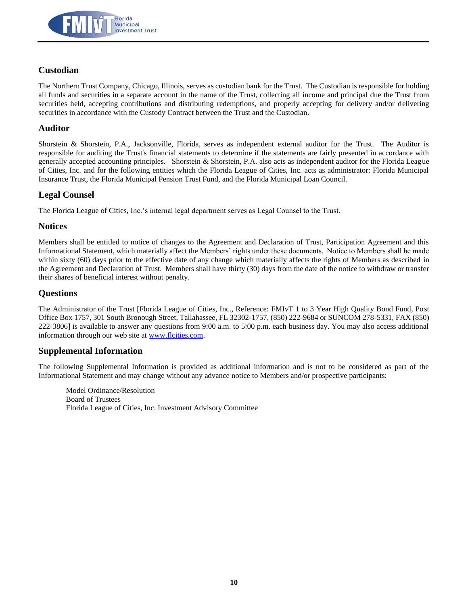

#### **Custodian**

The Northern Trust Company, Chicago, Illinois, serves as custodian bank for the Trust. The Custodian is responsible for holding all funds and securities in a separate account in the name of the Trust, collecting all income and principal due the Trust from securities held, accepting contributions and distributing redemptions, and properly accepting for delivery and/or delivering securities in accordance with the Custody Contract between the Trust and the Custodian.

#### **Auditor**

Shorstein & Shorstein, P.A., Jacksonville, Florida, serves as independent external auditor for the Trust. The Auditor is responsible for auditing the Trust's financial statements to determine if the statements are fairly presented in accordance with generally accepted accounting principles. Shorstein & Shorstein, P.A. also acts as independent auditor for the Florida League of Cities, Inc. and for the following entities which the Florida League of Cities, Inc. acts as administrator: Florida Municipal Insurance Trust, the Florida Municipal Pension Trust Fund, and the Florida Municipal Loan Council.

#### **Legal Counsel**

The Florida League of Cities, Inc.'s internal legal department serves as Legal Counsel to the Trust.

#### **Notices**

Members shall be entitled to notice of changes to the Agreement and Declaration of Trust, Participation Agreement and this Informational Statement, which materially affect the Members' rights under these documents. Notice to Members shall be made within sixty (60) days prior to the effective date of any change which materially affects the rights of Members as described in the Agreement and Declaration of Trust. Members shall have thirty (30) days from the date of the notice to withdraw or transfer their shares of beneficial interest without penalty.

#### **Questions**

The Administrator of the Trust [Florida League of Cities, Inc., Reference: FMIvT 1 to 3 Year High Quality Bond Fund, Post Office Box 1757, 301 South Bronough Street, Tallahassee, FL 32302-1757, (850) 222-9684 or SUNCOM 278-5331, FAX (850) 222-3806] is available to answer any questions from 9:00 a.m. to 5:00 p.m. each business day. You may also access additional information through our web site at **www.flcities.com**.

#### **Supplemental Information**

The following Supplemental Information is provided as additional information and is not to be considered as part of the Informational Statement and may change without any advance notice to Members and/or prospective participants:

Model Ordinance/Resolution Board of Trustees Florida League of Cities, Inc. Investment Advisory Committee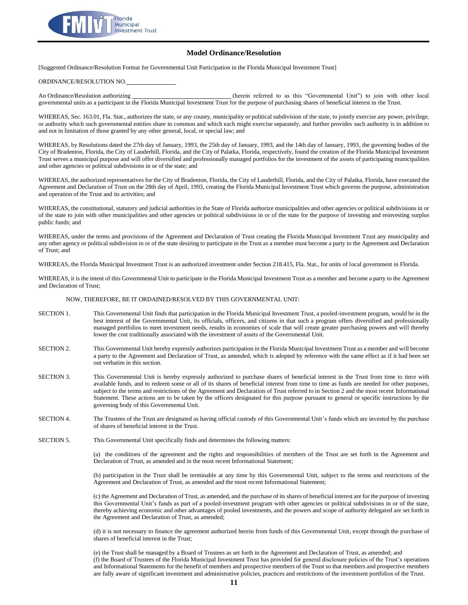

#### **Model Ordinance/Resolution**

[Suggested Ordinance/Resolution Format for Governmental Unit Participation in the Florida Municipal Investment Trust]

ORDINANCE/RESOLUTION NO.

An Ordinance/Resolution authorizing (herein referred to as this "Governmental Unit") to join with other local governmental units as a participant in the Florida Municipal Investment Trust for the purpose of purchasing shares of beneficial interest in the Trust.

WHEREAS, Sec. 163.01, Fla. Stat., authorizes the state, or any county, municipality or political subdivision of the state, to jointly exercise any power, privilege, or authority which such governmental entities share in common and which each might exercise separately, and further provides such authority is in addition to and not in limitation of those granted by any other general, local, or special law; and

WHEREAS, by Resolutions dated the 27th day of January, 1993, the 25th day of January, 1993, and the 14th day of January, 1993, the governing bodies of the City of Bradenton, Florida, the City of Lauderhill, Florida, and the City of Palatka, Florida, respectively, found the creation of the Florida Municipal Investment Trust serves a municipal purpose and will offer diversified and professionally managed portfolios for the investment of the assets of participating municipalities and other agencies or political subdivisions in or of the state; and

WHEREAS, the authorized representatives for the City of Bradenton, Florida, the City of Lauderhill, Florida, and the City of Palatka, Florida, have executed the Agreement and Declaration of Trust on the 28th day of April, 1993, creating the Florida Municipal Investment Trust which governs the purpose, administration and operation of the Trust and its activities; and

WHEREAS, the constitutional, statutory and judicial authorities in the State of Florida authorize municipalities and other agencies or political subdivisions in or of the state to join with other municipalities and other agencies or political subdivisions in or of the state for the purpose of investing and reinvesting surplus public funds; and

WHEREAS, under the terms and provisions of the Agreement and Declaration of Trust creating the Florida Municipal Investment Trust any municipality and any other agency or political subdivision in or of the state desiring to participate in the Trust as a member must become a party to the Agreement and Declaration of Trust; and

WHEREAS, the Florida Municipal Investment Trust is an authorized investment under Section 218.415, Fla. Stat., for units of local government in Florida.

WHEREAS, it is the intent of this Governmental Unit to participate in the Florida Municipal Investment Trust as a member and become a party to the Agreement and Declaration of Trust;

#### NOW, THEREFORE, BE IT ORDAINED/RESOLVED BY THIS GOVERNMENTAL UNIT:

- SECTION 1. This Governmental Unit finds that participation in the Florida Municipal Investment Trust, a pooled-investment program, would be in the best interest of the Governmental Unit, its officials, officers, and citizens in that such a program offers diversified and professionally managed portfolios to meet investment needs, results in economies of scale that will create greater purchasing powers and will thereby lower the cost traditionally associated with the investment of assets of the Governmental Unit.
- SECTION 2. This Governmental Unit hereby expressly authorizes participation in the Florida Municipal Investment Trust as a member and will become a party to the Agreement and Declaration of Trust, as amended, which is adopted by reference with the same effect as if it had been set out verbatim in this section.
- SECTION 3. This Governmental Unit is hereby expressly authorized to purchase shares of beneficial interest in the Trust from time to time with available funds, and to redeem some or all of its shares of beneficial interest from time to time as funds are needed for other purposes, subject to the terms and restrictions of the Agreement and Declaration of Trust referred to in Section 2 and the most recent Informational Statement. These actions are to be taken by the officers designated for this purpose pursuant to general or specific instructions by the governing body of this Governmental Unit.
- SECTION 4. The Trustees of the Trust are designated as having official custody of this Governmental Unit's funds which are invested by the purchase of shares of beneficial interest in the Trust.
- SECTION 5. This Governmental Unit specifically finds and determines the following matters:

(a) the conditions of the agreement and the rights and responsibilities of members of the Trust are set forth in the Agreement and Declaration of Trust, as amended and in the most recent Informational Statement;

(b) participation in the Trust shall be terminable at any time by this Governmental Unit, subject to the terms and restrictions of the Agreement and Declaration of Trust, as amended and the most recent Informational Statement;

(c) the Agreement and Declaration of Trust, as amended, and the purchase of its shares of beneficial interest are for the purpose of investing this Governmental Unit's funds as part of a pooled-investment program with other agencies or political subdivisions in or of the state, thereby achieving economic and other advantages of pooled investments, and the powers and scope of authority delegated are set forth in the Agreement and Declaration of Trust, as amended;

(d) it is not necessary to finance the agreement authorized herein from funds of this Governmental Unit, except through the purchase of shares of beneficial interest in the Trust;

(e) the Trust shall be managed by a Board of Trustees as set forth in the Agreement and Declaration of Trust, as amended; and (f) the Board of Trustees of the Florida Municipal Investment Trust has provided for general disclosure policies of the Trust's operations and Informational Statements for the benefit of members and prospective members of the Trust so that members and prospective members are fully aware of significant investment and administrative policies, practices and restrictions of the investment portfolios of the Trust.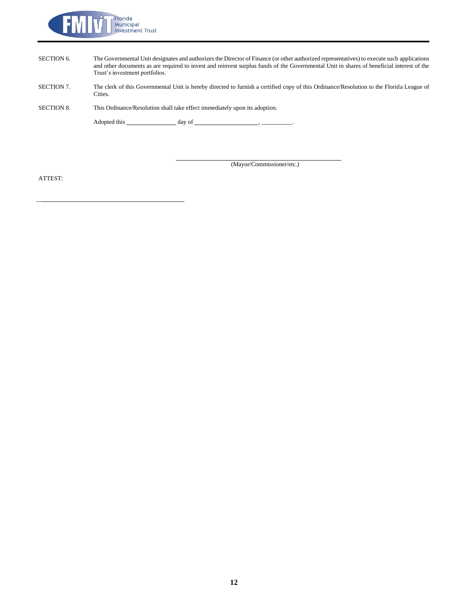

Cities.

SECTION 6. The Governmental Unit designates and authorizes the Director of Finance (or other authorized representatives) to execute such applications and other documents as are required to invest and reinvest surplus funds of the Governmental Unit in shares of beneficial interest of the Trust's investment portfolios. SECTION 7. The clerk of this Governmental Unit is hereby directed to furnish a certified copy of this Ordinance/Resolution to the Florida League of

SECTION 8. This Ordinance/Resolution shall take effect immediately upon its adoption.

Adopted this \_\_\_\_\_\_\_\_\_\_\_\_\_\_\_\_\_\_\_\_\_ day of \_

ATTEST:

(Mayor/Commissioner/etc.)

**12**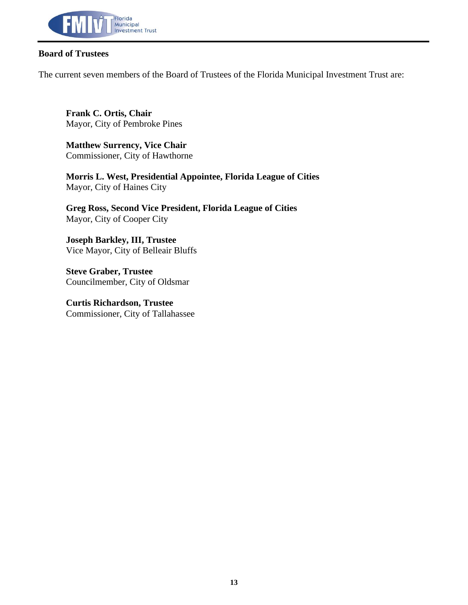

#### **Board of Trustees**

The current seven members of the Board of Trustees of the Florida Municipal Investment Trust are:

**Frank C. Ortis, Chair** Mayor, City of Pembroke Pines

**Matthew Surrency, Vice Chair** Commissioner, City of Hawthorne

**Morris L. West, Presidential Appointee, Florida League of Cities** Mayor, City of Haines City

**Greg Ross, Second Vice President, Florida League of Cities** Mayor, City of Cooper City

**Joseph Barkley, III, Trustee** Vice Mayor, City of Belleair Bluffs

**Steve Graber, Trustee** Councilmember, City of Oldsmar

**Curtis Richardson, Trustee** Commissioner, City of Tallahassee